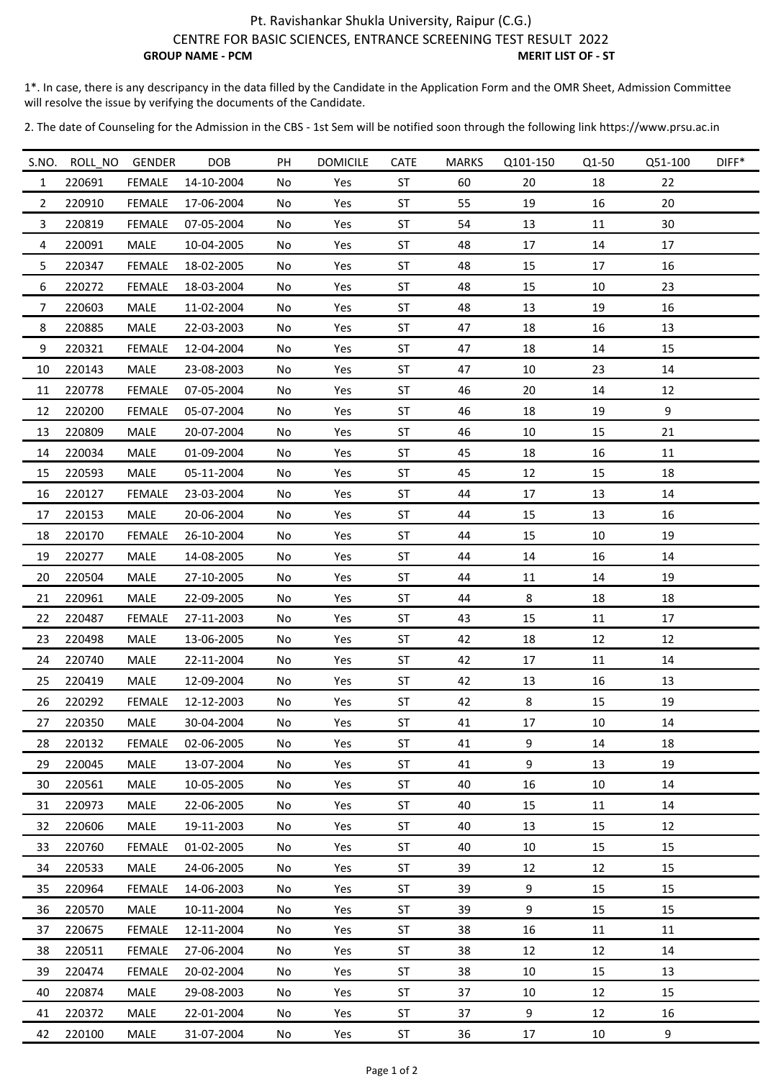## Pt. Ravishankar Shukla University, Raipur (C.G.) CENTRE FOR BASIC SCIENCES, ENTRANCE SCREENING TEST RESULT 2022 **GROUP NAME - PCM** MERIT LIST OF - ST

1\*. In case, there is any descripancy in the data filled by the Candidate in the Application Form and the OMR Sheet, Admission Committee will resolve the issue by verifying the documents of the Candidate.

2. The date of Counseling for the Admission in the CBS ‐ 1st Sem will be notified soon through the following link https://www.prsu.ac.in

| S.NO.            | ROLL_NO | GENDER        | <b>DOB</b> | PH | <b>DOMICILE</b> | CATE      | <b>MARKS</b> | Q101-150 | Q1-50 | Q51-100 | $DIFF*$ |
|------------------|---------|---------------|------------|----|-----------------|-----------|--------------|----------|-------|---------|---------|
| $\mathbf{1}$     | 220691  | <b>FEMALE</b> | 14-10-2004 | No | Yes             | ST        | 60           | 20       | 18    | 22      |         |
| $\overline{2}$   | 220910  | <b>FEMALE</b> | 17-06-2004 | No | Yes             | ST        | 55           | 19       | 16    | 20      |         |
| 3                | 220819  | <b>FEMALE</b> | 07-05-2004 | No | Yes             | ST        | 54           | 13       | 11    | 30      |         |
| 4                | 220091  | MALE          | 10-04-2005 | No | Yes             | ST        | 48           | 17       | 14    | 17      |         |
| 5                | 220347  | <b>FEMALE</b> | 18-02-2005 | No | Yes             | <b>ST</b> | 48           | 15       | 17    | 16      |         |
| 6                | 220272  | <b>FEMALE</b> | 18-03-2004 | No | Yes             | ST        | 48           | 15       | 10    | 23      |         |
| $\overline{7}$   | 220603  | MALE          | 11-02-2004 | No | Yes             | ST        | 48           | 13       | 19    | 16      |         |
| 8                | 220885  | MALE          | 22-03-2003 | No | Yes             | ST        | 47           | 18       | 16    | 13      |         |
| $\boldsymbol{9}$ | 220321  | <b>FEMALE</b> | 12-04-2004 | No | Yes             | ST        | 47           | 18       | 14    | 15      |         |
| 10               | 220143  | MALE          | 23-08-2003 | No | Yes             | ST        | 47           | 10       | 23    | 14      |         |
| 11               | 220778  | <b>FEMALE</b> | 07-05-2004 | No | Yes             | ST        | 46           | 20       | 14    | 12      |         |
| 12               | 220200  | <b>FEMALE</b> | 05-07-2004 | No | Yes             | ST        | 46           | 18       | 19    | 9       |         |
| 13               | 220809  | <b>MALE</b>   | 20-07-2004 | No | Yes             | ST        | 46           | 10       | 15    | 21      |         |
| 14               | 220034  | MALE          | 01-09-2004 | No | Yes             | ST        | 45           | 18       | 16    | $11\,$  |         |
| 15               | 220593  | MALE          | 05-11-2004 | No | Yes             | ST        | 45           | 12       | 15    | 18      |         |
| 16               | 220127  | <b>FEMALE</b> | 23-03-2004 | No | Yes             | ST        | 44           | 17       | 13    | 14      |         |
| 17               | 220153  | MALE          | 20-06-2004 | No | Yes             | ST        | 44           | 15       | 13    | 16      |         |
| 18               | 220170  | <b>FEMALE</b> | 26-10-2004 | No | Yes             | ST        | 44           | 15       | 10    | 19      |         |
| 19               | 220277  | MALE          | 14-08-2005 | No | Yes             | ST        | 44           | 14       | 16    | 14      |         |
| 20               | 220504  | MALE          | 27-10-2005 | No | Yes             | ST        | 44           | 11       | 14    | 19      |         |
| 21               | 220961  | MALE          | 22-09-2005 | No | Yes             | ST        | 44           | 8        | 18    | 18      |         |
| 22               | 220487  | <b>FEMALE</b> | 27-11-2003 | No | Yes             | ST        | 43           | 15       | 11    | 17      |         |
| 23               | 220498  | MALE          | 13-06-2005 | No | Yes             | ST        | 42           | 18       | 12    | 12      |         |
| 24               | 220740  | MALE          | 22-11-2004 | No | Yes             | ST        | 42           | 17       | 11    | 14      |         |
| 25               | 220419  | MALE          | 12-09-2004 | No | Yes             | $\sf ST$  | 42           | 13       | 16    | 13      |         |
| 26               | 220292  | <b>FEMALE</b> | 12-12-2003 | No | Yes             | ST        | 42           | 8        | 15    | 19      |         |
| 27               | 220350  | MALE          | 30-04-2004 | No | Yes             | <b>ST</b> | 41           | 17       | 10    | 14      |         |
| 28               | 220132  | <b>FEMALE</b> | 02-06-2005 | No | Yes             | ST        | 41           | 9        | 14    | 18      |         |
| 29               | 220045  | MALE          | 13-07-2004 | No | Yes             | ST        | 41           | 9        | 13    | 19      |         |
| 30               | 220561  | MALE          | 10-05-2005 | No | Yes             | ST        | 40           | 16       | 10    | 14      |         |
| 31               | 220973  | MALE          | 22-06-2005 | No | Yes             | ST        | 40           | 15       | 11    | 14      |         |
| 32               | 220606  | MALE          | 19-11-2003 | No | Yes             | ST        | 40           | 13       | 15    | 12      |         |
| 33               | 220760  | <b>FEMALE</b> | 01-02-2005 | No | Yes             | ST        | 40           | 10       | 15    | 15      |         |
| 34               | 220533  | MALE          | 24-06-2005 | No | Yes             | ST        | 39           | 12       | 12    | 15      |         |
| 35               | 220964  | <b>FEMALE</b> | 14-06-2003 | No | Yes             | ST        | 39           | 9        | 15    | 15      |         |
| 36               | 220570  | MALE          | 10-11-2004 | No | Yes             | ST        | 39           | 9        | 15    | 15      |         |
| 37               | 220675  | <b>FEMALE</b> | 12-11-2004 | No | Yes             | ST        | 38           | 16       | 11    | 11      |         |
| 38               | 220511  | <b>FEMALE</b> | 27-06-2004 | No | Yes             | ST        | 38           | 12       | 12    | 14      |         |
| 39               | 220474  | <b>FEMALE</b> | 20-02-2004 | No | Yes             | ST        | 38           | 10       | 15    | 13      |         |
| 40               | 220874  | MALE          | 29-08-2003 | No | Yes             | ST        | 37           | 10       | 12    | 15      |         |
| 41               | 220372  | MALE          | 22-01-2004 | No | Yes             | ST        | 37           | 9        | 12    | 16      |         |
| 42               | 220100  | MALE          | 31-07-2004 | No | Yes             | ST        | 36           | 17       | 10    | 9       |         |